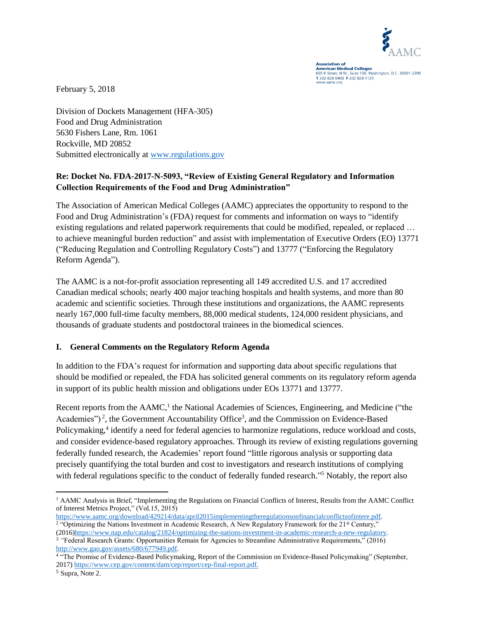

**Association of<br>American Medical Colleges**<br>655 K Street, N.W., Suite 100, Washington, D.C. 20001-2399 T 202 828 0400 F 202 828 1125

February 5, 2018

Division of Dockets Management (HFA-305) Food and Drug Administration 5630 Fishers Lane, Rm. 1061 Rockville, MD 20852 Submitted electronically at [www.regulations.gov](http://www.regulations.gov/)

## **Re: Docket No. FDA-2017-N-5093, "Review of Existing General Regulatory and Information Collection Requirements of the Food and Drug Administration"**

The Association of American Medical Colleges (AAMC) appreciates the opportunity to respond to the Food and Drug Administration's (FDA) request for comments and information on ways to "identify existing regulations and related paperwork requirements that could be modified, repealed, or replaced … to achieve meaningful burden reduction" and assist with implementation of Executive Orders (EO) 13771 ("Reducing Regulation and Controlling Regulatory Costs") and 13777 ("Enforcing the Regulatory Reform Agenda").

The AAMC is a not-for-profit association representing all 149 accredited U.S. and 17 accredited Canadian medical schools; nearly 400 major teaching hospitals and health systems, and more than 80 academic and scientific societies. Through these institutions and organizations, the AAMC represents nearly 167,000 full-time faculty members, 88,000 medical students, 124,000 resident physicians, and thousands of graduate students and postdoctoral trainees in the biomedical sciences.

## **I. General Comments on the Regulatory Reform Agenda**

In addition to the FDA's request for information and supporting data about specific regulations that should be modified or repealed, the FDA has solicited general comments on its regulatory reform agenda in support of its public health mission and obligations under EOs 13771 and 13777.

Recent reports from the AAMC,<sup>1</sup> the National Academies of Sciences, Engineering, and Medicine ("the Academies")<sup>2</sup>, the Government Accountability Office<sup>3</sup>, and the Commission on Evidence-Based Policymaking,<sup>4</sup> identify a need for federal agencies to harmonize regulations, reduce workload and costs, and consider evidence-based regulatory approaches. Through its review of existing regulations governing federally funded research, the Academies' report found "little rigorous analysis or supporting data precisely quantifying the total burden and cost to investigators and research institutions of complying with federal regulations specific to the conduct of federally funded research."<sup>5</sup> Notably, the report also

 $\overline{\phantom{a}}$ <sup>1</sup> AAMC Analysis in Brief, "Implementing the Regulations on Financial Conflicts of Interest, Results from the AAMC Conflict of Interest Metrics Project," (Vol.15, 2015)

[https://www.aamc.org/download/429214/data/april2015implementingtheregulationsonfinancialconflictsofintere.pdf.](https://www.aamc.org/download/429214/data/april2015implementingtheregulationsonfinancialconflictsofintere.pdf) <sup>2</sup> "Optimizing the Nations Investment in Academic Research, A New Regulatory Framework for the 21<sup>st</sup> Century," (2016[\)https://www.nap.edu/catalog/21824/optimizing-the-nations-investment-in-academic-research-a-new-regulatory.](https://www.nap.edu/catalog/21824/optimizing-the-nations-investment-in-academic-research-a-new-regulatory)

<sup>3</sup> *"*Federal Research Grants: Opportunities Remain for Agencies to Streamline Administrative Requirements," (2016) [http://www.gao.gov/assets/680/677949.pdf.](http://www.gao.gov/assets/680/677949.pdf)

<sup>4</sup> "The Promise of Evidence-Based Policymaking, Report of the Commission on Evidence-Based Policymaking" (September, 2017[\) https://www.cep.gov/content/dam/cep/report/cep-final-report.pdf.](https://www.cep.gov/content/dam/cep/report/cep-final-report.pdf)

<sup>5</sup> Supra, Note 2.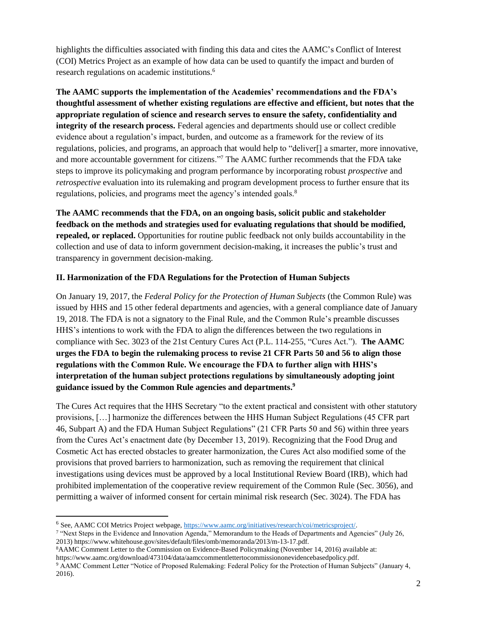highlights the difficulties associated with finding this data and cites the AAMC's Conflict of Interest (COI) Metrics Project as an example of how data can be used to quantify the impact and burden of research regulations on academic institutions.<sup>6</sup>

**The AAMC supports the implementation of the Academies' recommendations and the FDA's thoughtful assessment of whether existing regulations are effective and efficient, but notes that the appropriate regulation of science and research serves to ensure the safety, confidentiality and integrity of the research process.** Federal agencies and departments should use or collect credible evidence about a regulation's impact, burden, and outcome as a framework for the review of its regulations, policies, and programs, an approach that would help to "deliver[] a smarter, more innovative, and more accountable government for citizens."<sup>7</sup> The AAMC further recommends that the FDA take steps to improve its policymaking and program performance by incorporating robust *prospective* and *retrospective* evaluation into its rulemaking and program development process to further ensure that its regulations, policies, and programs meet the agency's intended goals.<sup>8</sup>

**The AAMC recommends that the FDA, on an ongoing basis, solicit public and stakeholder feedback on the methods and strategies used for evaluating regulations that should be modified, repealed, or replaced.** Opportunities for routine public feedback not only builds accountability in the collection and use of data to inform government decision-making, it increases the public's trust and transparency in government decision-making.

## **II. Harmonization of the FDA Regulations for the Protection of Human Subjects**

On January 19, 2017, the *Federal Policy for the Protection of Human Subjects* (the Common Rule) was issued by HHS and 15 other federal departments and agencies, with a general compliance date of January 19, 2018. The FDA is not a signatory to the Final Rule, and the Common Rule's preamble discusses HHS's intentions to work with the FDA to align the differences between the two regulations in compliance with Sec. 3023 of the 21st Century Cures Act (P.L. 114-255, "Cures Act."). **The AAMC urges the FDA to begin the rulemaking process to revise 21 CFR Parts 50 and 56 to align those regulations with the Common Rule. We encourage the FDA to further align with HHS's interpretation of the human subject protections regulations by simultaneously adopting joint guidance issued by the Common Rule agencies and departments. 9**

The Cures Act requires that the HHS Secretary "to the extent practical and consistent with other statutory provisions, […] harmonize the differences between the HHS Human Subject Regulations (45 CFR part 46, Subpart A) and the FDA Human Subject Regulations" (21 CFR Parts 50 and 56) within three years from the Cures Act's enactment date (by December 13, 2019). Recognizing that the Food Drug and Cosmetic Act has erected obstacles to greater harmonization, the Cures Act also modified some of the provisions that proved barriers to harmonization, such as removing the requirement that clinical investigations using devices must be approved by a local Institutional Review Board (IRB), which had prohibited implementation of the cooperative review requirement of the Common Rule (Sec. 3056), and permitting a waiver of informed consent for certain minimal risk research (Sec. 3024). The FDA has

 $\overline{\phantom{a}}$ 

<sup>6</sup> See, AAMC COI Metrics Project webpage, [https://www.aamc.org/initiatives/research/coi/metricsproject/.](https://www.aamc.org/initiatives/research/coi/metricsproject/)

<sup>&</sup>lt;sup>7</sup> "Next Steps in the Evidence and Innovation Agenda," Memorandum to the Heads of Departments and Agencies" (July 26, 2013) https://www.whitehouse.gov/sites/default/files/omb/memoranda/2013/m-13-17.pdf.

<sup>8</sup>AAMC Comment Letter to the Commission on Evidence-Based Policymaking (November 14, 2016) available at: https://www.aamc.org/download/473104/data/aamccommentlettertocommissiononevidencebasedpolicy.pdf. <sup>9</sup> AAMC Comment Letter "Notice of Proposed Rulemaking: Federal Policy for the Protection of Human Subjects" (January 4, 2016).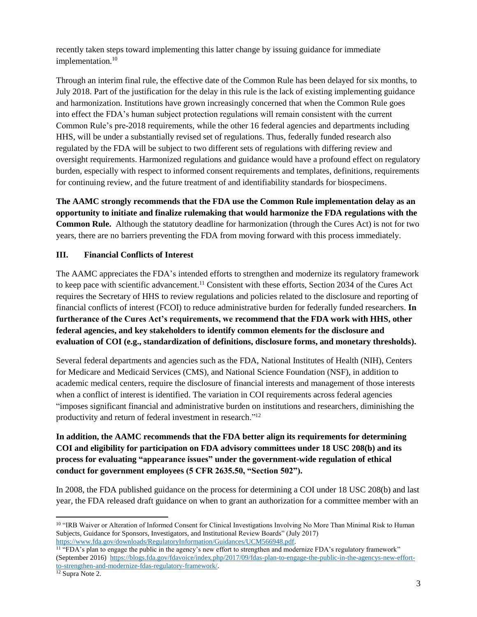recently taken steps toward implementing this latter change by issuing guidance for immediate implementation.<sup>10</sup>

Through an interim final rule, the effective date of the Common Rule has been delayed for six months, to July 2018. Part of the justification for the delay in this rule is the lack of existing implementing guidance and harmonization. Institutions have grown increasingly concerned that when the Common Rule goes into effect the FDA's human subject protection regulations will remain consistent with the current Common Rule's pre-2018 requirements, while the other 16 federal agencies and departments including HHS, will be under a substantially revised set of regulations. Thus, federally funded research also regulated by the FDA will be subject to two different sets of regulations with differing review and oversight requirements. Harmonized regulations and guidance would have a profound effect on regulatory burden, especially with respect to informed consent requirements and templates, definitions, requirements for continuing review, and the future treatment of and identifiability standards for biospecimens.

**The AAMC strongly recommends that the FDA use the Common Rule implementation delay as an opportunity to initiate and finalize rulemaking that would harmonize the FDA regulations with the Common Rule.** Although the statutory deadline for harmonization (through the Cures Act) is not for two years, there are no barriers preventing the FDA from moving forward with this process immediately.

## **III. Financial Conflicts of Interest**

The AAMC appreciates the FDA's intended efforts to strengthen and modernize its regulatory framework to keep pace with scientific advancement. <sup>11</sup> Consistent with these efforts, Section 2034 of the Cures Act requires the Secretary of HHS to review regulations and policies related to the disclosure and reporting of financial conflicts of interest (FCOI) to reduce administrative burden for federally funded researchers. **In furtherance of the Cures Act's requirements, we recommend that the FDA work with HHS, other federal agencies, and key stakeholders to identify common elements for the disclosure and evaluation of COI (e.g., standardization of definitions, disclosure forms, and monetary thresholds).**

Several federal departments and agencies such as the FDA, National Institutes of Health (NIH), Centers for Medicare and Medicaid Services (CMS), and National Science Foundation (NSF), in addition to academic medical centers, require the disclosure of financial interests and management of those interests when a conflict of interest is identified. The variation in COI requirements across federal agencies "imposes significant financial and administrative burden on institutions and researchers, diminishing the productivity and return of federal investment in research."<sup>12</sup>

**In addition, the AAMC recommends that the FDA better align its requirements for determining COI and eligibility for participation on FDA advisory committees under 18 USC 208(b) and its process for evaluating "appearance issues" under the government-wide regulation of ethical conduct for government employees (5 CFR 2635.50, "Section 502").**

In 2008, the FDA published guidance on the process for determining a COI under 18 USC 208(b) and last year, the FDA released draft guidance on when to grant an authorization for a committee member with an

<sup>11</sup> "FDA's plan to engage the public in the agency's new effort to strengthen and modernize FDA's regulatory framework" (September 2016) [https://blogs.fda.gov/fdavoice/index.php/2017/09/fdas-plan-to-engage-the-public-in-the-agencys-new-effort](https://blogs.fda.gov/fdavoice/index.php/2017/09/fdas-plan-to-engage-the-public-in-the-agencys-new-effort-to-strengthen-and-modernize-fdas-regulatory-framework/)[to-strengthen-and-modernize-fdas-regulatory-framework/.](https://blogs.fda.gov/fdavoice/index.php/2017/09/fdas-plan-to-engage-the-public-in-the-agencys-new-effort-to-strengthen-and-modernize-fdas-regulatory-framework/)

 $\overline{\phantom{a}}$ 

<sup>&</sup>lt;sup>10</sup> "IRB Waiver or Alteration of Informed Consent for Clinical Investigations Involving No More Than Minimal Risk to Human Subjects, Guidance for Sponsors, Investigators, and Institutional Review Boards" (July 2017) [https://www.fda.gov/downloads/RegulatoryInformation/Guidances/UCM566948.pdf.](https://www.fda.gov/downloads/RegulatoryInformation/Guidances/UCM566948.pdf)

<sup>12</sup> Supra Note 2.